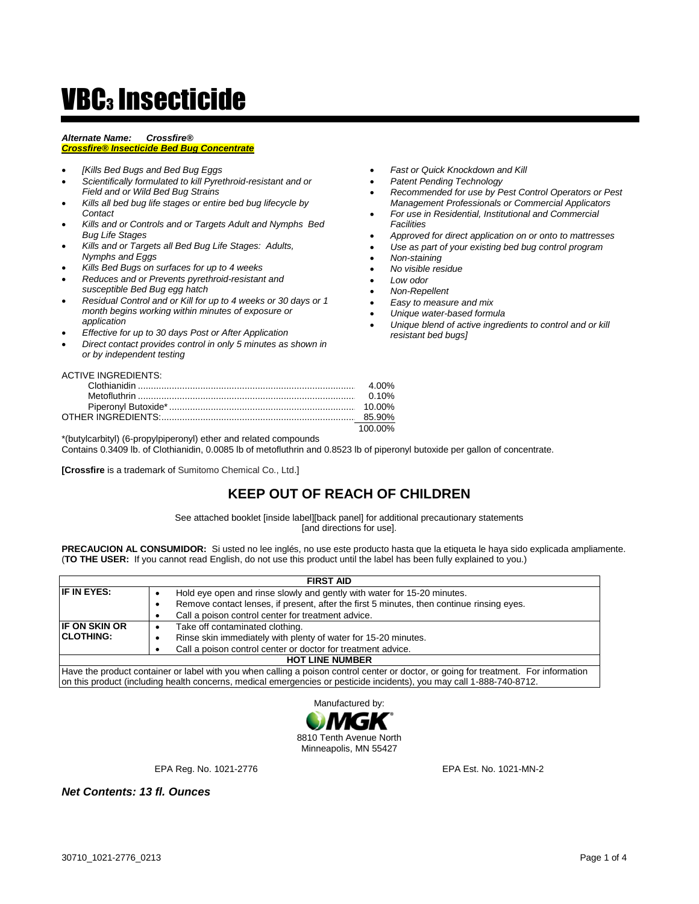# **VBC3** Insecticide

#### *Alternate Name: Crossfire®*

# *Crossfire® Insecticide Bed Bug Concentrate*

- *[Kills Bed Bugs and Bed Bug Eggs*
- *Scientifically formulated to kill Pyrethroid-resistant and or Field and or Wild Bed Bug Strains*
- *Kills all bed bug life stages or entire bed bug lifecycle by Contact*
- *Kills and or Controls and or Targets Adult and Nymphs Bed Bug Life Stages*
- *Kills and or Targets all Bed Bug Life Stages: Adults, Nymphs and Eggs*
- *Kills Bed Bugs on surfaces for up to 4 weeks*
- *Reduces and or Prevents pyrethroid-resistant and susceptible Bed Bug egg hatch*
- *Residual Control and or Kill for up to 4 weeks or 30 days or 1 month begins working within minutes of exposure or application*
- *Effective for up to 30 days Post or After Application*
- *Direct contact provides control in only 5 minutes as shown in or by independent testing*
- *Fast or Quick Knockdown and Kill*
- *Patent Pending Technology*
- *Recommended for use by Pest Control Operators or Pest Management Professionals or Commercial Applicators*
- *For use in Residential, Institutional and Commercial Facilities*
- *Approved for direct application on or onto to mattresses*
- *Use as part of your existing bed bug control program*
- *Non-staining*
- *No visible residue*
- *Low odor*
- *Non-Repellent*
- *Easy to measure and mix*
- *Unique water-based formula*
- *Unique blend of active ingredients to control and or kill resistant bed bugs]*

# ACTIVE INGREDIENTS:

|                | 4.00% |  |
|----------------|-------|--|
| $\ldots$ 0.10% |       |  |
|                |       |  |
|                |       |  |
|                |       |  |

\*(butylcarbityl) (6-propylpiperonyl) ether and related compounds

Contains 0.3409 lb. of Clothianidin, 0.0085 lb of metofluthrin and 0.8523 lb of piperonyl butoxide per gallon of concentrate.

**[Crossfire** is a trademark of Sumitomo Chemical Co., Ltd.]

# **KEEP OUT OF REACH OF CHILDREN**

See attached booklet [inside label][back panel] for additional precautionary statements [and directions for use].

**PRECAUCION AL CONSUMIDOR:** Si usted no lee inglés, no use este producto hasta que la etiqueta le haya sido explicada ampliamente. (**TO THE USER:** If you cannot read English, do not use this product until the label has been fully explained to you.)

| <b>FIRST AID</b>     |                                                                                                                                      |  |
|----------------------|--------------------------------------------------------------------------------------------------------------------------------------|--|
| IF IN EYES:          | Hold eye open and rinse slowly and gently with water for 15-20 minutes.                                                              |  |
|                      | Remove contact lenses, if present, after the first 5 minutes, then continue rinsing eyes.                                            |  |
|                      | Call a poison control center for treatment advice.                                                                                   |  |
| <b>IF ON SKIN OR</b> | Take off contaminated clothing.                                                                                                      |  |
| <b>CLOTHING:</b>     | Rinse skin immediately with plenty of water for 15-20 minutes.                                                                       |  |
|                      | Call a poison control center or doctor for treatment advice.                                                                         |  |
|                      | <b>HOT LINE NUMBER</b>                                                                                                               |  |
|                      | Have the product container or label with you when calling a poison control center or doctor, or going for treatment. For information |  |

Have the product container or label with you when calling a poison control center or doctor, or going for treatment. For information on this product (including health concerns, medical emergencies or pesticide incidents), you may call 1-888-740-8712.



EPA Reg. No. 1021-2776 EPA Est. No. 1021-MN-2

*Net Contents: 13 fl. Ounces*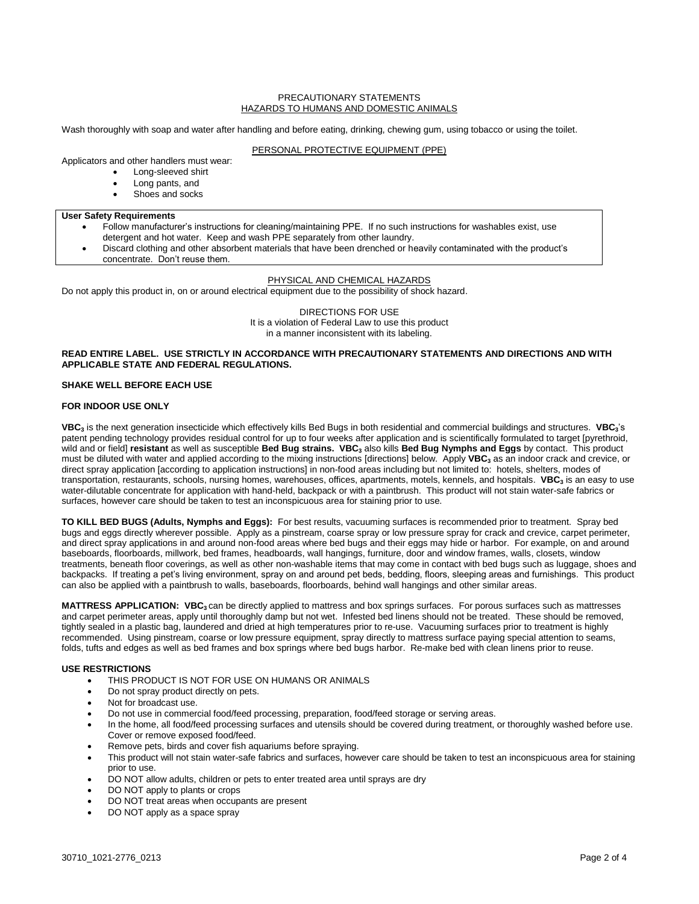#### PRECAUTIONARY STATEMENTS HAZARDS TO HUMANS AND DOMESTIC ANIMALS

Wash thoroughly with soap and water after handling and before eating, drinking, chewing gum, using tobacco or using the toilet.

## PERSONAL PROTECTIVE EQUIPMENT (PPE)

Applicators and other handlers must wear:

- Long-sleeved shirt
	- Long pants, and
	- Shoes and socks

#### **User Safety Requirements**

- Follow manufacturer's instructions for cleaning/maintaining PPE. If no such instructions for washables exist, use detergent and hot water. Keep and wash PPE separately from other laundry.
- Discard clothing and other absorbent materials that have been drenched or heavily contaminated with the product's concentrate. Don't reuse them.

## PHYSICAL AND CHEMICAL HAZARDS

Do not apply this product in, on or around electrical equipment due to the possibility of shock hazard.

DIRECTIONS FOR USE It is a violation of Federal Law to use this product in a manner inconsistent with its labeling.

## **READ ENTIRE LABEL. USE STRICTLY IN ACCORDANCE WITH PRECAUTIONARY STATEMENTS AND DIRECTIONS AND WITH APPLICABLE STATE AND FEDERAL REGULATIONS.**

#### **SHAKE WELL BEFORE EACH USE**

#### **FOR INDOOR USE ONLY**

**VBC<sup>3</sup>** is the next generation insecticide which effectively kills Bed Bugs in both residential and commercial buildings and structures. **VBC3**'s patent pending technology provides residual control for up to four weeks after application and is scientifically formulated to target [pyrethroid, wild and or field] **resistant** as well as susceptible **Bed Bug strains. VBC<sup>3</sup>** also kills **Bed Bug Nymphs and Eggs** by contact. This product must be diluted with water and applied according to the mixing instructions [directions] below. Apply **VBC<sup>3</sup>** as an indoor crack and crevice, or direct spray application [according to application instructions] in non-food areas including but not limited to: hotels, shelters, modes of transportation, restaurants, schools, nursing homes, warehouses, offices, apartments, motels, kennels, and hospitals. **VBC<sup>3</sup>** is an easy to use water-dilutable concentrate for application with hand-held, backpack or with a paintbrush. This product will not stain water-safe fabrics or surfaces, however care should be taken to test an inconspicuous area for staining prior to use.

**TO KILL BED BUGS (Adults, Nymphs and Eggs):** For best results, vacuuming surfaces is recommended prior to treatment. Spray bed bugs and eggs directly wherever possible. Apply as a pinstream, coarse spray or low pressure spray for crack and crevice, carpet perimeter, and direct spray applications in and around non-food areas where bed bugs and their eggs may hide or harbor. For example, on and around baseboards, floorboards, millwork, bed frames, headboards, wall hangings, furniture, door and window frames, walls, closets, window treatments, beneath floor coverings, as well as other non-washable items that may come in contact with bed bugs such as luggage, shoes and backpacks. If treating a pet's living environment, spray on and around pet beds, bedding, floors, sleeping areas and furnishings. This product can also be applied with a paintbrush to walls, baseboards, floorboards, behind wall hangings and other similar areas.

**MATTRESS APPLICATION: VBC3** can be directly applied to mattress and box springs surfaces. For porous surfaces such as mattresses and carpet perimeter areas, apply until thoroughly damp but not wet. Infested bed linens should not be treated. These should be removed, tightly sealed in a plastic bag, laundered and dried at high temperatures prior to re-use. Vacuuming surfaces prior to treatment is highly recommended. Using pinstream, coarse or low pressure equipment, spray directly to mattress surface paying special attention to seams, folds, tufts and edges as well as bed frames and box springs where bed bugs harbor. Re-make bed with clean linens prior to reuse.

#### **USE RESTRICTIONS**

- THIS PRODUCT IS NOT FOR USE ON HUMANS OR ANIMALS
- Do not spray product directly on pets.
- Not for broadcast use.
- Do not use in commercial food/feed processing, preparation, food/feed storage or serving areas.
- In the home, all food/feed processing surfaces and utensils should be covered during treatment, or thoroughly washed before use. Cover or remove exposed food/feed.
- Remove pets, birds and cover fish aquariums before spraying.
- This product will not stain water-safe fabrics and surfaces, however care should be taken to test an inconspicuous area for staining prior to use.
- DO NOT allow adults, children or pets to enter treated area until sprays are dry
- DO NOT apply to plants or crops
- DO NOT treat areas when occupants are present
- DO NOT apply as a space spray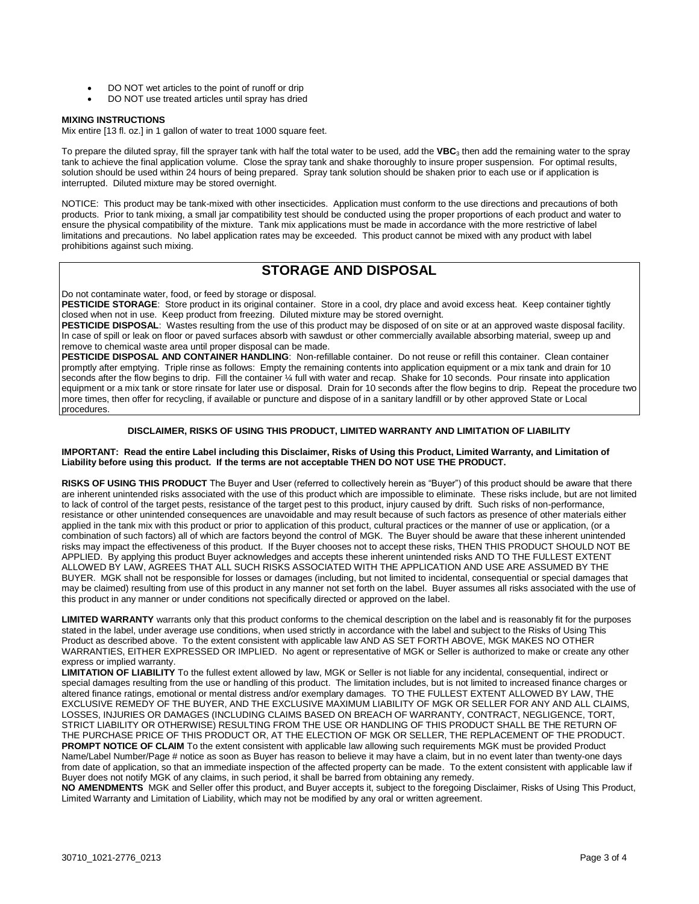- DO NOT wet articles to the point of runoff or drip
- DO NOT use treated articles until spray has dried

#### **MIXING INSTRUCTIONS**

Mix entire [13 fl. oz.] in 1 gallon of water to treat 1000 square feet.

To prepare the diluted spray, fill the sprayer tank with half the total water to be used, add the VBC<sub>3</sub> then add the remaining water to the spray tank to achieve the final application volume. Close the spray tank and shake thoroughly to insure proper suspension. For optimal results, solution should be used within 24 hours of being prepared. Spray tank solution should be shaken prior to each use or if application is interrupted. Diluted mixture may be stored overnight.

NOTICE: This product may be tank-mixed with other insecticides. Application must conform to the use directions and precautions of both products. Prior to tank mixing, a small jar compatibility test should be conducted using the proper proportions of each product and water to ensure the physical compatibility of the mixture. Tank mix applications must be made in accordance with the more restrictive of label limitations and precautions. No label application rates may be exceeded. This product cannot be mixed with any product with label prohibitions against such mixing.

# **STORAGE AND DISPOSAL**

Do not contaminate water, food, or feed by storage or disposal.

PESTICIDE STORAGE: Store product in its original container. Store in a cool, dry place and avoid excess heat. Keep container tightly closed when not in use. Keep product from freezing. Diluted mixture may be stored overnight.

**PESTICIDE DISPOSAL**: Wastes resulting from the use of this product may be disposed of on site or at an approved waste disposal facility. In case of spill or leak on floor or paved surfaces absorb with sawdust or other commercially available absorbing material, sweep up and remove to chemical waste area until proper disposal can be made.

**PESTICIDE DISPOSAL AND CONTAINER HANDLING**: Non-refillable container. Do not reuse or refill this container. Clean container promptly after emptying. Triple rinse as follows: Empty the remaining contents into application equipment or a mix tank and drain for 10 seconds after the flow begins to drip. Fill the container 1/4 full with water and recap. Shake for 10 seconds. Pour rinsate into application equipment or a mix tank or store rinsate for later use or disposal. Drain for 10 seconds after the flow begins to drip. Repeat the procedure two more times, then offer for recycling, if available or puncture and dispose of in a sanitary landfill or by other approved State or Local procedures.

# **DISCLAIMER, RISKS OF USING THIS PRODUCT, LIMITED WARRANTY AND LIMITATION OF LIABILITY**

#### **IMPORTANT: Read the entire Label including this Disclaimer, Risks of Using this Product, Limited Warranty, and Limitation of Liability before using this product. If the terms are not acceptable THEN DO NOT USE THE PRODUCT.**

**RISKS OF USING THIS PRODUCT** The Buyer and User (referred to collectively herein as "Buyer") of this product should be aware that there are inherent unintended risks associated with the use of this product which are impossible to eliminate. These risks include, but are not limited to lack of control of the target pests, resistance of the target pest to this product, injury caused by drift. Such risks of non-performance, resistance or other unintended consequences are unavoidable and may result because of such factors as presence of other materials either applied in the tank mix with this product or prior to application of this product, cultural practices or the manner of use or application, (or a combination of such factors) all of which are factors beyond the control of MGK. The Buyer should be aware that these inherent unintended risks may impact the effectiveness of this product. If the Buyer chooses not to accept these risks, THEN THIS PRODUCT SHOULD NOT BE APPLIED. By applying this product Buyer acknowledges and accepts these inherent unintended risks AND TO THE FULLEST EXTENT ALLOWED BY LAW, AGREES THAT ALL SUCH RISKS ASSOCIATED WITH THE APPLICATION AND USE ARE ASSUMED BY THE BUYER. MGK shall not be responsible for losses or damages (including, but not limited to incidental, consequential or special damages that may be claimed) resulting from use of this product in any manner not set forth on the label. Buyer assumes all risks associated with the use of this product in any manner or under conditions not specifically directed or approved on the label.

**LIMITED WARRANTY** warrants only that this product conforms to the chemical description on the label and is reasonably fit for the purposes stated in the label, under average use conditions, when used strictly in accordance with the label and subject to the Risks of Using This Product as described above. To the extent consistent with applicable law AND AS SET FORTH ABOVE, MGK MAKES NO OTHER WARRANTIES, EITHER EXPRESSED OR IMPLIED. No agent or representative of MGK or Seller is authorized to make or create any other express or implied warranty.

**LIMITATION OF LIABILITY** To the fullest extent allowed by law, MGK or Seller is not liable for any incidental, consequential, indirect or special damages resulting from the use or handling of this product. The limitation includes, but is not limited to increased finance charges or altered finance ratings, emotional or mental distress and/or exemplary damages. TO THE FULLEST EXTENT ALLOWED BY LAW, THE EXCLUSIVE REMEDY OF THE BUYER, AND THE EXCLUSIVE MAXIMUM LIABILITY OF MGK OR SELLER FOR ANY AND ALL CLAIMS, LOSSES, INJURIES OR DAMAGES (INCLUDING CLAIMS BASED ON BREACH OF WARRANTY, CONTRACT, NEGLIGENCE, TORT, STRICT LIABILITY OR OTHERWISE) RESULTING FROM THE USE OR HANDLING OF THIS PRODUCT SHALL BE THE RETURN OF THE PURCHASE PRICE OF THIS PRODUCT OR, AT THE ELECTION OF MGK OR SELLER, THE REPLACEMENT OF THE PRODUCT. PROMPT NOTICE OF CLAIM To the extent consistent with applicable law allowing such requirements MGK must be provided Product Name/Label Number/Page # notice as soon as Buyer has reason to believe it may have a claim, but in no event later than twenty-one days from date of application, so that an immediate inspection of the affected property can be made. To the extent consistent with applicable law if Buyer does not notify MGK of any claims, in such period, it shall be barred from obtaining any remedy.

**NO AMENDMENTS** MGK and Seller offer this product, and Buyer accepts it, subject to the foregoing Disclaimer, Risks of Using This Product, Limited Warranty and Limitation of Liability, which may not be modified by any oral or written agreement.